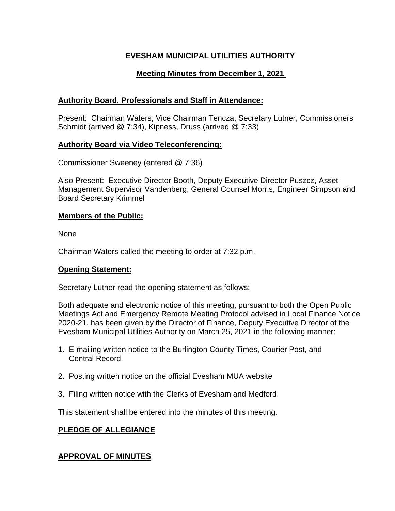# **EVESHAM MUNICIPAL UTILITIES AUTHORITY**

# **Meeting Minutes from December 1, 2021**

# **Authority Board, Professionals and Staff in Attendance:**

Present: Chairman Waters, Vice Chairman Tencza, Secretary Lutner, Commissioners Schmidt (arrived @ 7:34), Kipness, Druss (arrived @ 7:33)

### **Authority Board via Video Teleconferencing:**

Commissioner Sweeney (entered @ 7:36)

Also Present: Executive Director Booth, Deputy Executive Director Puszcz, Asset Management Supervisor Vandenberg, General Counsel Morris, Engineer Simpson and Board Secretary Krimmel

### **Members of the Public:**

None

Chairman Waters called the meeting to order at 7:32 p.m.

### **Opening Statement:**

Secretary Lutner read the opening statement as follows:

Both adequate and electronic notice of this meeting, pursuant to both the Open Public Meetings Act and Emergency Remote Meeting Protocol advised in Local Finance Notice 2020-21, has been given by the Director of Finance, Deputy Executive Director of the Evesham Municipal Utilities Authority on March 25, 2021 in the following manner:

- 1. E-mailing written notice to the Burlington County Times, Courier Post, and Central Record
- 2. Posting written notice on the official Evesham MUA website
- 3. Filing written notice with the Clerks of Evesham and Medford

This statement shall be entered into the minutes of this meeting.

# **PLEDGE OF ALLEGIANCE**

# **APPROVAL OF MINUTES**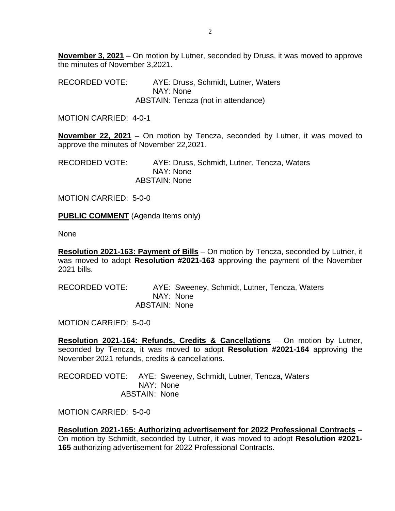**November 3, 2021** – On motion by Lutner, seconded by Druss, it was moved to approve the minutes of November 3,2021.

RECORDED VOTE: AYE: Druss, Schmidt, Lutner, Waters NAY: None ABSTAIN: Tencza (not in attendance)

MOTION CARRIED: 4-0-1

**November 22, 2021** – On motion by Tencza, seconded by Lutner, it was moved to approve the minutes of November 22,2021.

RECORDED VOTE: AYE: Druss, Schmidt, Lutner, Tencza, Waters NAY: None ABSTAIN: None

MOTION CARRIED: 5-0-0

**PUBLIC COMMENT** (Agenda Items only)

None

**Resolution 2021-163: Payment of Bills** – On motion by Tencza, seconded by Lutner, it was moved to adopt **Resolution #2021-163** approving the payment of the November 2021 bills.

RECORDED VOTE: AYE: Sweeney, Schmidt, Lutner, Tencza, Waters NAY: None ABSTAIN: None

MOTION CARRIED: 5-0-0

**Resolution 2021-164: Refunds, Credits & Cancellations** – On motion by Lutner, seconded by Tencza, it was moved to adopt **Resolution #2021-164** approving the November 2021 refunds, credits & cancellations.

RECORDED VOTE: AYE: Sweeney, Schmidt, Lutner, Tencza, Waters NAY: None ABSTAIN: None

MOTION CARRIED: 5-0-0

**Resolution 2021-165: Authorizing advertisement for 2022 Professional Contracts** – On motion by Schmidt, seconded by Lutner, it was moved to adopt **Resolution #2021- 165** authorizing advertisement for 2022 Professional Contracts.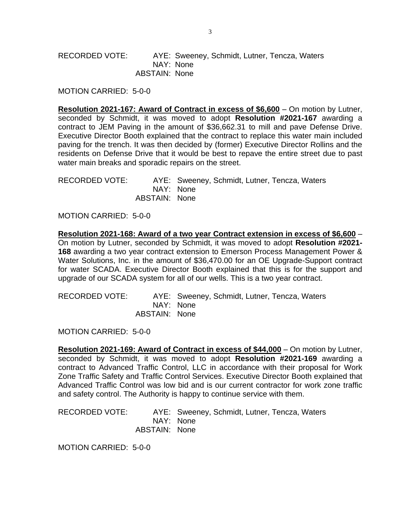RECORDED VOTE: AYE: Sweeney, Schmidt, Lutner, Tencza, Waters NAY: None ABSTAIN: None

MOTION CARRIED: 5-0-0

**Resolution 2021-167: Award of Contract in excess of \$6,600** – On motion by Lutner, seconded by Schmidt, it was moved to adopt **Resolution #2021-167** awarding a contract to JEM Paving in the amount of \$36,662.31 to mill and pave Defense Drive. Executive Director Booth explained that the contract to replace this water main included paving for the trench. It was then decided by (former) Executive Director Rollins and the residents on Defense Drive that it would be best to repave the entire street due to past water main breaks and sporadic repairs on the street.

RECORDED VOTE: AYE: Sweeney, Schmidt, Lutner, Tencza, Waters NAY: None ABSTAIN: None

MOTION CARRIED: 5-0-0

**Resolution 2021-168: Award of a two year Contract extension in excess of \$6,600** – On motion by Lutner, seconded by Schmidt, it was moved to adopt **Resolution #2021- 168** awarding a two year contract extension to Emerson Process Management Power & Water Solutions, Inc. in the amount of \$36,470.00 for an OE Upgrade-Support contract for water SCADA. Executive Director Booth explained that this is for the support and upgrade of our SCADA system for all of our wells. This is a two year contract.

RECORDED VOTE: AYE: Sweeney, Schmidt, Lutner, Tencza, Waters NAY: None ABSTAIN: None

MOTION CARRIED: 5-0-0

**Resolution 2021-169: Award of Contract in excess of \$44,000** – On motion by Lutner, seconded by Schmidt, it was moved to adopt **Resolution #2021-169** awarding a contract to Advanced Traffic Control, LLC in accordance with their proposal for Work Zone Traffic Safety and Traffic Control Services. Executive Director Booth explained that Advanced Traffic Control was low bid and is our current contractor for work zone traffic and safety control. The Authority is happy to continue service with them.

RECORDED VOTE: AYE: Sweeney, Schmidt, Lutner, Tencza, Waters NAY: None ABSTAIN: None

MOTION CARRIED: 5-0-0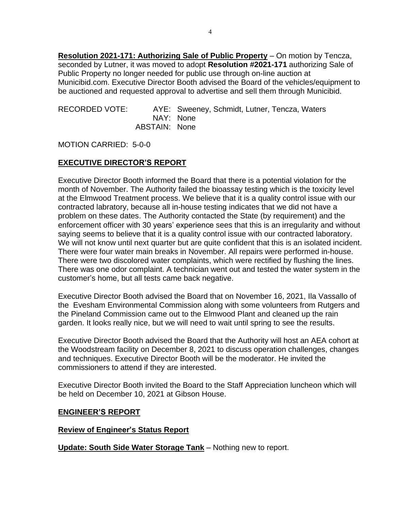**Resolution 2021-171: Authorizing Sale of Public Property** – On motion by Tencza, seconded by Lutner, it was moved to adopt **Resolution #2021-171** authorizing Sale of Public Property no longer needed for public use through on-line auction at Municibid.com. Executive Director Booth advised the Board of the vehicles/equipment to be auctioned and requested approval to advertise and sell them through Municibid.

| RECORDED VOTE: |               | AYE: Sweeney, Schmidt, Lutner, Tencza, Waters |
|----------------|---------------|-----------------------------------------------|
|                |               | NAY: None                                     |
|                | ABSTAIN: None |                                               |

MOTION CARRIED: 5-0-0

### **EXECUTIVE DIRECTOR'S REPORT**

Executive Director Booth informed the Board that there is a potential violation for the month of November. The Authority failed the bioassay testing which is the toxicity level at the Elmwood Treatment process. We believe that it is a quality control issue with our contracted labratory, because all in-house testing indicates that we did not have a problem on these dates. The Authority contacted the State (by requirement) and the enforcement officer with 30 years' experience sees that this is an irregularity and without saying seems to believe that it is a quality control issue with our contracted laboratory. We will not know until next quarter but are quite confident that this is an isolated incident. There were four water main breaks in November. All repairs were performed in-house. There were two discolored water complaints, which were rectified by flushing the lines. There was one odor complaint. A technician went out and tested the water system in the customer's home, but all tests came back negative.

Executive Director Booth advised the Board that on November 16, 2021, Ila Vassallo of the Evesham Environmental Commission along with some volunteers from Rutgers and the Pineland Commission came out to the Elmwood Plant and cleaned up the rain garden. It looks really nice, but we will need to wait until spring to see the results.

Executive Director Booth advised the Board that the Authority will host an AEA cohort at the Woodstream facility on December 8, 2021 to discuss operation challenges, changes and techniques. Executive Director Booth will be the moderator. He invited the commissioners to attend if they are interested.

Executive Director Booth invited the Board to the Staff Appreciation luncheon which will be held on December 10, 2021 at Gibson House.

### **ENGINEER'S REPORT**

#### **Review of Engineer's Status Report**

**Update: South Side Water Storage Tank** – Nothing new to report.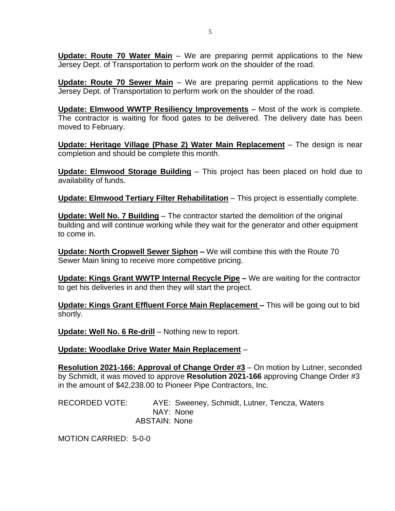**Update: Route 70 Water Main** – We are preparing permit applications to the New Jersey Dept. of Transportation to perform work on the shoulder of the road.

**Update: Route 70 Sewer Main** – We are preparing permit applications to the New Jersey Dept. of Transportation to perform work on the shoulder of the road.

**Update: Elmwood WWTP Resiliency Improvements** – Most of the work is complete. The contractor is waiting for flood gates to be delivered. The delivery date has been moved to February.

**Update: Heritage Village (Phase 2) Water Main Replacement** – The design is near completion and should be complete this month.

**Update: Elmwood Storage Building** – This project has been placed on hold due to availability of funds.

**Update: Elmwood Tertiary Filter Rehabilitation** – This project is essentially complete.

**Update: Well No. 7 Building** – The contractor started the demolition of the original building and will continue working while they wait for the generator and other equipment to come in.

**Update: North Cropwell Sewer Siphon –** We will combine this with the Route 70 Sewer Main lining to receive more competitive pricing.

**Update: Kings Grant WWTP Internal Recycle Pipe –** We are waiting for the contractor to get his deliveries in and then they will start the project.

**Update: Kings Grant Effluent Force Main Replacement –** This will be going out to bid shortly.

**Update: Well No. 6 Re-drill** – Nothing new to report.

**Update: Woodlake Drive Water Main Replacement** –

**Resolution 2021-166: Approval of Change Order #3** – On motion by Lutner, seconded by Schmidt, it was moved to approve **Resolution 2021-166** approving Change Order #3 in the amount of \$42,238.00 to Pioneer Pipe Contractors, Inc.

RECORDED VOTE: AYE: Sweeney, Schmidt, Lutner, Tencza, Waters NAY: None ABSTAIN: None

MOTION CARRIED: 5-0-0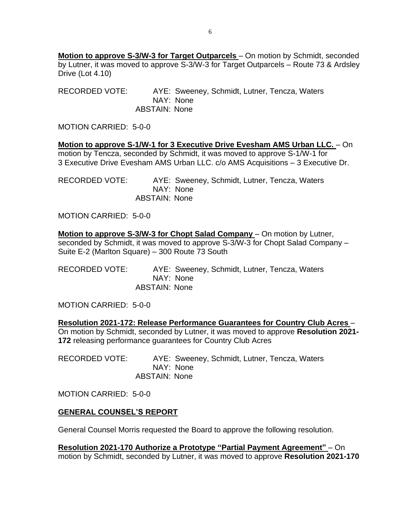**Motion to approve S-3/W-3 for Target Outparcels** – On motion by Schmidt, seconded by Lutner, it was moved to approve S-3/W-3 for Target Outparcels – Route 73 & Ardsley Drive (Lot 4.10)

RECORDED VOTE: AYE: Sweeney, Schmidt, Lutner, Tencza, Waters NAY: None ABSTAIN: None

MOTION CARRIED: 5-0-0

**Motion to approve S-1/W-1 for 3 Executive Drive Evesham AMS Urban LLC.** – On motion by Tencza, seconded by Schmidt, it was moved to approve S-1/W-1 for 3 Executive Drive Evesham AMS Urban LLC. c/o AMS Acquisitions – 3 Executive Dr.

RECORDED VOTE: AYE: Sweeney, Schmidt, Lutner, Tencza, Waters NAY: None ABSTAIN: None

MOTION CARRIED: 5-0-0

**Motion to approve S-3/W-3 for Chopt Salad Company** – On motion by Lutner, seconded by Schmidt, it was moved to approve S-3/W-3 for Chopt Salad Company – Suite E-2 (Marlton Square) – 300 Route 73 South

RECORDED VOTE: AYE: Sweeney, Schmidt, Lutner, Tencza, Waters NAY: None ABSTAIN: None

MOTION CARRIED: 5-0-0

**Resolution 2021-172: Release Performance Guarantees for Country Club Acres** – On motion by Schmidt, seconded by Lutner, it was moved to approve **Resolution 2021- 172** releasing performance guarantees for Country Club Acres

RECORDED VOTE: AYE: Sweeney, Schmidt, Lutner, Tencza, Waters NAY: None ABSTAIN: None

MOTION CARRIED: 5-0-0

### **GENERAL COUNSEL'S REPORT**

General Counsel Morris requested the Board to approve the following resolution.

**Resolution 2021-170 Authorize a Prototype "Partial Payment Agreement"** – On motion by Schmidt, seconded by Lutner, it was moved to approve **Resolution 2021-170**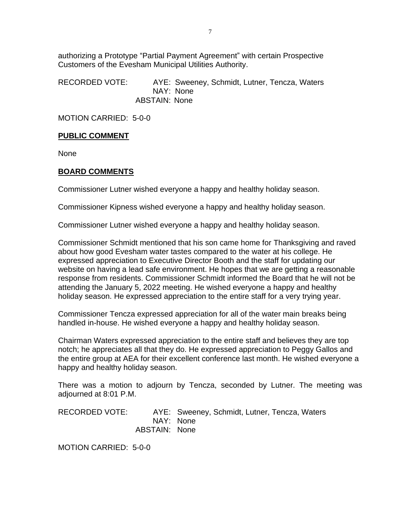authorizing a Prototype "Partial Payment Agreement" with certain Prospective Customers of the Evesham Municipal Utilities Authority.

RECORDED VOTE: AYE: Sweeney, Schmidt, Lutner, Tencza, Waters NAY: None ABSTAIN: None

MOTION CARRIED: 5-0-0

### **PUBLIC COMMENT**

None

#### **BOARD COMMENTS**

Commissioner Lutner wished everyone a happy and healthy holiday season.

Commissioner Kipness wished everyone a happy and healthy holiday season.

Commissioner Lutner wished everyone a happy and healthy holiday season.

Commissioner Schmidt mentioned that his son came home for Thanksgiving and raved about how good Evesham water tastes compared to the water at his college. He expressed appreciation to Executive Director Booth and the staff for updating our website on having a lead safe environment. He hopes that we are getting a reasonable response from residents. Commissioner Schmidt informed the Board that he will not be attending the January 5, 2022 meeting. He wished everyone a happy and healthy holiday season. He expressed appreciation to the entire staff for a very trying year.

Commissioner Tencza expressed appreciation for all of the water main breaks being handled in-house. He wished everyone a happy and healthy holiday season.

Chairman Waters expressed appreciation to the entire staff and believes they are top notch; he appreciates all that they do. He expressed appreciation to Peggy Gallos and the entire group at AEA for their excellent conference last month. He wished everyone a happy and healthy holiday season.

There was a motion to adjourn by Tencza, seconded by Lutner. The meeting was adjourned at 8:01 P.M.

RECORDED VOTE: AYE: Sweeney, Schmidt, Lutner, Tencza, Waters NAY: None ABSTAIN: None

MOTION CARRIED: 5-0-0